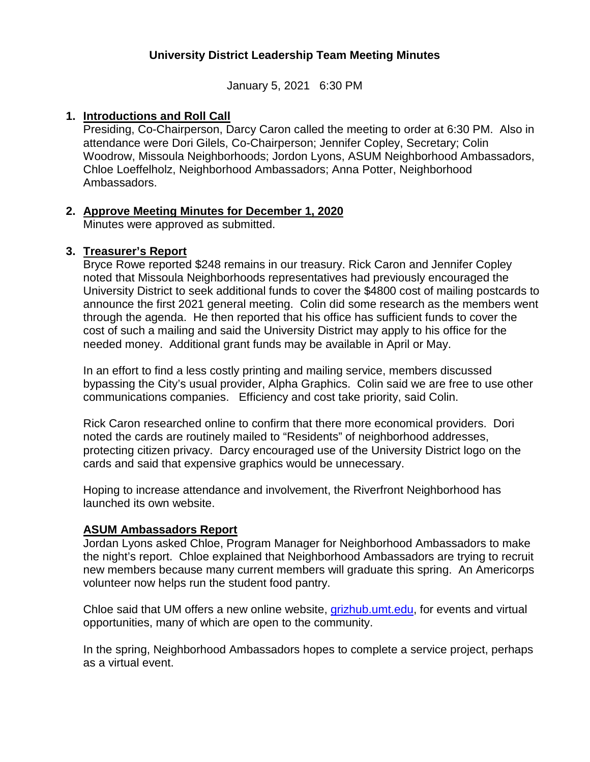# **University District Leadership Team Meeting Minutes**

January 5, 2021 6:30 PM

### **1. Introductions and Roll Call**

Presiding, Co-Chairperson, Darcy Caron called the meeting to order at 6:30 PM. Also in attendance were Dori Gilels, Co-Chairperson; Jennifer Copley, Secretary; Colin Woodrow, Missoula Neighborhoods; Jordon Lyons, ASUM Neighborhood Ambassadors, Chloe Loeffelholz, Neighborhood Ambassadors; Anna Potter, Neighborhood Ambassadors.

## **2. Approve Meeting Minutes for December 1, 2020**

Minutes were approved as submitted.

## **3. Treasurer's Report**

Bryce Rowe reported \$248 remains in our treasury. Rick Caron and Jennifer Copley noted that Missoula Neighborhoods representatives had previously encouraged the University District to seek additional funds to cover the \$4800 cost of mailing postcards to announce the first 2021 general meeting. Colin did some research as the members went through the agenda. He then reported that his office has sufficient funds to cover the cost of such a mailing and said the University District may apply to his office for the needed money. Additional grant funds may be available in April or May.

In an effort to find a less costly printing and mailing service, members discussed bypassing the City's usual provider, Alpha Graphics. Colin said we are free to use other communications companies. Efficiency and cost take priority, said Colin.

Rick Caron researched online to confirm that there more economical providers. Dori noted the cards are routinely mailed to "Residents" of neighborhood addresses, protecting citizen privacy. Darcy encouraged use of the University District logo on the cards and said that expensive graphics would be unnecessary.

Hoping to increase attendance and involvement, the Riverfront Neighborhood has launched its own website.

### **ASUM Ambassadors Report**

Jordan Lyons asked Chloe, Program Manager for Neighborhood Ambassadors to make the night's report. Chloe explained that Neighborhood Ambassadors are trying to recruit new members because many current members will graduate this spring. An Americorps volunteer now helps run the student food pantry.

Chloe said that UM offers a new online website, [grizhub.umt.edu,](mailto:grizhuv.umt.edu) for events and virtual opportunities, many of which are open to the community.

In the spring, Neighborhood Ambassadors hopes to complete a service project, perhaps as a virtual event.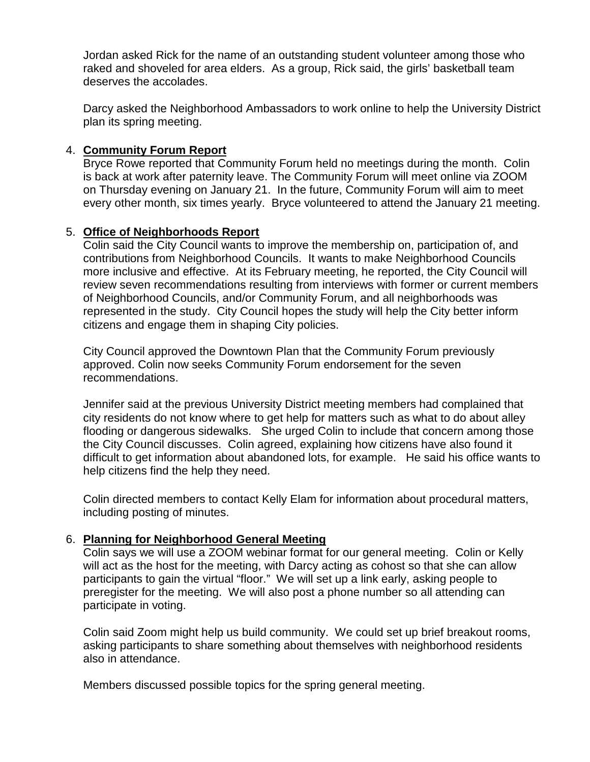Jordan asked Rick for the name of an outstanding student volunteer among those who raked and shoveled for area elders. As a group, Rick said, the girls' basketball team deserves the accolades.

Darcy asked the Neighborhood Ambassadors to work online to help the University District plan its spring meeting.

## 4. **Community Forum Report**

Bryce Rowe reported that Community Forum held no meetings during the month. Colin is back at work after paternity leave. The Community Forum will meet online via ZOOM on Thursday evening on January 21. In the future, Community Forum will aim to meet every other month, six times yearly. Bryce volunteered to attend the January 21 meeting.

## 5. **Office of Neighborhoods Report**

Colin said the City Council wants to improve the membership on, participation of, and contributions from Neighborhood Councils. It wants to make Neighborhood Councils more inclusive and effective. At its February meeting, he reported, the City Council will review seven recommendations resulting from interviews with former or current members of Neighborhood Councils, and/or Community Forum, and all neighborhoods was represented in the study. City Council hopes the study will help the City better inform citizens and engage them in shaping City policies.

City Council approved the Downtown Plan that the Community Forum previously approved. Colin now seeks Community Forum endorsement for the seven recommendations.

Jennifer said at the previous University District meeting members had complained that city residents do not know where to get help for matters such as what to do about alley flooding or dangerous sidewalks. She urged Colin to include that concern among those the City Council discusses. Colin agreed, explaining how citizens have also found it difficult to get information about abandoned lots, for example. He said his office wants to help citizens find the help they need.

Colin directed members to contact Kelly Elam for information about procedural matters, including posting of minutes.

### 6. **Planning for Neighborhood General Meeting**

Colin says we will use a ZOOM webinar format for our general meeting. Colin or Kelly will act as the host for the meeting, with Darcy acting as cohost so that she can allow participants to gain the virtual "floor." We will set up a link early, asking people to preregister for the meeting. We will also post a phone number so all attending can participate in voting.

Colin said Zoom might help us build community. We could set up brief breakout rooms, asking participants to share something about themselves with neighborhood residents also in attendance.

Members discussed possible topics for the spring general meeting.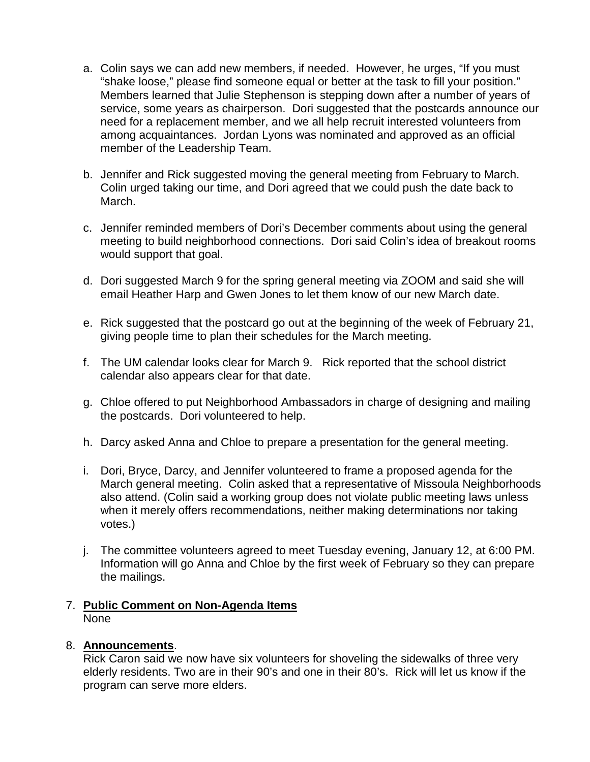- a. Colin says we can add new members, if needed. However, he urges, "If you must "shake loose," please find someone equal or better at the task to fill your position." Members learned that Julie Stephenson is stepping down after a number of years of service, some years as chairperson. Dori suggested that the postcards announce our need for a replacement member, and we all help recruit interested volunteers from among acquaintances. Jordan Lyons was nominated and approved as an official member of the Leadership Team.
- b. Jennifer and Rick suggested moving the general meeting from February to March. Colin urged taking our time, and Dori agreed that we could push the date back to March.
- c. Jennifer reminded members of Dori's December comments about using the general meeting to build neighborhood connections. Dori said Colin's idea of breakout rooms would support that goal.
- d. Dori suggested March 9 for the spring general meeting via ZOOM and said she will email Heather Harp and Gwen Jones to let them know of our new March date.
- e. Rick suggested that the postcard go out at the beginning of the week of February 21, giving people time to plan their schedules for the March meeting.
- f. The UM calendar looks clear for March 9. Rick reported that the school district calendar also appears clear for that date.
- g. Chloe offered to put Neighborhood Ambassadors in charge of designing and mailing the postcards. Dori volunteered to help.
- h. Darcy asked Anna and Chloe to prepare a presentation for the general meeting.
- i. Dori, Bryce, Darcy, and Jennifer volunteered to frame a proposed agenda for the March general meeting. Colin asked that a representative of Missoula Neighborhoods also attend. (Colin said a working group does not violate public meeting laws unless when it merely offers recommendations, neither making determinations nor taking votes.)
- j. The committee volunteers agreed to meet Tuesday evening, January 12, at 6:00 PM. Information will go Anna and Chloe by the first week of February so they can prepare the mailings.

### 7. **Public Comment on Non-Agenda Items** None

### 8. **Announcements**.

Rick Caron said we now have six volunteers for shoveling the sidewalks of three very elderly residents. Two are in their 90's and one in their 80's. Rick will let us know if the program can serve more elders.